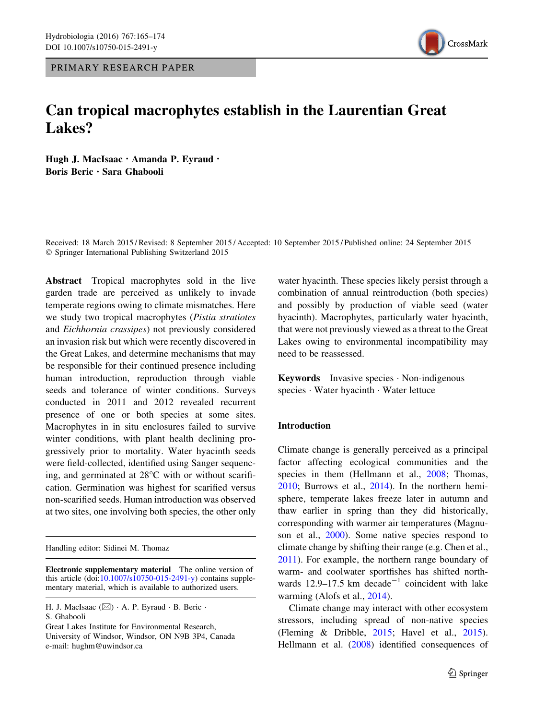PRIMARY RESEARCH PAPER



# Can tropical macrophytes establish in the Laurentian Great Lakes?

Hugh J. MacIsaac · Amanda P. Eyraud · Boris Beric . Sara Ghabooli

Received: 18 March 2015 / Revised: 8 September 2015 / Accepted: 10 September 2015 / Published online: 24 September 2015 - Springer International Publishing Switzerland 2015

Abstract Tropical macrophytes sold in the live garden trade are perceived as unlikely to invade temperate regions owing to climate mismatches. Here we study two tropical macrophytes (Pistia stratiotes and Eichhornia crassipes) not previously considered an invasion risk but which were recently discovered in the Great Lakes, and determine mechanisms that may be responsible for their continued presence including human introduction, reproduction through viable seeds and tolerance of winter conditions. Surveys conducted in 2011 and 2012 revealed recurrent presence of one or both species at some sites. Macrophytes in in situ enclosures failed to survive winter conditions, with plant health declining progressively prior to mortality. Water hyacinth seeds were field-collected, identified using Sanger sequencing, and germinated at  $28^{\circ}$ C with or without scarification. Germination was highest for scarified versus non-scarified seeds. Human introduction was observed at two sites, one involving both species, the other only

Handling editor: Sidinei M. Thomaz

Great Lakes Institute for Environmental Research, University of Windsor, Windsor, ON N9B 3P4, Canada

e-mail: hughm@uwindsor.ca

water hyacinth. These species likely persist through a combination of annual reintroduction (both species) and possibly by production of viable seed (water hyacinth). Macrophytes, particularly water hyacinth, that were not previously viewed as a threat to the Great Lakes owing to environmental incompatibility may need to be reassessed.

Keywords Invasive species - Non-indigenous species - Water hyacinth - Water lettuce

# Introduction

Climate change is generally perceived as a principal factor affecting ecological communities and the species in them (Hellmann et al., [2008](#page-9-0); Thomas, [2010;](#page-9-0) Burrows et al., [2014](#page-8-0)). In the northern hemisphere, temperate lakes freeze later in autumn and thaw earlier in spring than they did historically, corresponding with warmer air temperatures (Magnuson et al., [2000](#page-9-0)). Some native species respond to climate change by shifting their range (e.g. Chen et al., [2011\)](#page-9-0). For example, the northern range boundary of warm- and coolwater sportfishes has shifted northwards 12.9–17.5 km decade<sup>-1</sup> coincident with lake warming (Alofs et al., [2014\)](#page-8-0).

Climate change may interact with other ecosystem stressors, including spread of non-native species (Fleming & Dribble, [2015](#page-9-0); Havel et al., [2015](#page-9-0)). Hellmann et al. [\(2008](#page-9-0)) identified consequences of

Electronic supplementary material The online version of this article  $(doi:10.1007/s10750-015-2491-y)$  $(doi:10.1007/s10750-015-2491-y)$  contains supplementary material, which is available to authorized users.

H. J. MacIsaac (⊠) · A. P. Eyraud · B. Beric · S. Ghabooli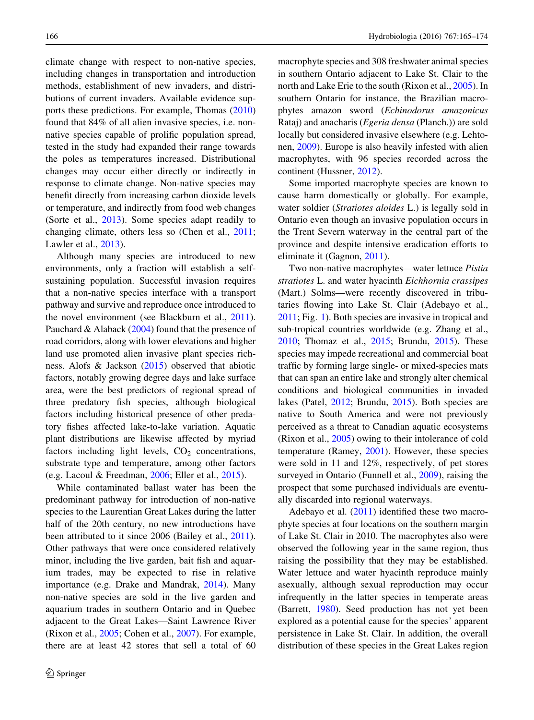climate change with respect to non-native species, including changes in transportation and introduction methods, establishment of new invaders, and distributions of current invaders. Available evidence supports these predictions. For example, Thomas ([2010\)](#page-9-0) found that 84% of all alien invasive species, i.e. nonnative species capable of prolific population spread, tested in the study had expanded their range towards the poles as temperatures increased. Distributional changes may occur either directly or indirectly in response to climate change. Non-native species may benefit directly from increasing carbon dioxide levels or temperature, and indirectly from food web changes (Sorte et al., [2013](#page-9-0)). Some species adapt readily to changing climate, others less so (Chen et al., [2011](#page-9-0); Lawler et al., [2013](#page-9-0)).

Although many species are introduced to new environments, only a fraction will establish a selfsustaining population. Successful invasion requires that a non-native species interface with a transport pathway and survive and reproduce once introduced to the novel environment (see Blackburn et al., [2011](#page-8-0)). Pauchard & Alaback ([2004\)](#page-9-0) found that the presence of road corridors, along with lower elevations and higher land use promoted alien invasive plant species richness. Alofs & Jackson ([2015\)](#page-8-0) observed that abiotic factors, notably growing degree days and lake surface area, were the best predictors of regional spread of three predatory fish species, although biological factors including historical presence of other predatory fishes affected lake-to-lake variation. Aquatic plant distributions are likewise affected by myriad factors including light levels,  $CO<sub>2</sub>$  concentrations, substrate type and temperature, among other factors (e.g. Lacoul & Freedman, [2006;](#page-9-0) Eller et al., [2015\)](#page-9-0).

While contaminated ballast water has been the predominant pathway for introduction of non-native species to the Laurentian Great Lakes during the latter half of the 20th century, no new introductions have been attributed to it since 2006 (Bailey et al., [2011](#page-8-0)). Other pathways that were once considered relatively minor, including the live garden, bait fish and aquarium trades, may be expected to rise in relative importance (e.g. Drake and Mandrak, [2014\)](#page-9-0). Many non-native species are sold in the live garden and aquarium trades in southern Ontario and in Quebec adjacent to the Great Lakes—Saint Lawrence River (Rixon et al., [2005;](#page-9-0) Cohen et al., [2007\)](#page-9-0). For example, there are at least 42 stores that sell a total of 60 macrophyte species and 308 freshwater animal species in southern Ontario adjacent to Lake St. Clair to the north and Lake Erie to the south (Rixon et al., [2005](#page-9-0)). In southern Ontario for instance, the Brazilian macrophytes amazon sword (Echinodorus amazonicus Rataj) and anacharis (Egeria densa (Planch.)) are sold locally but considered invasive elsewhere (e.g. Lehtonen, [2009\)](#page-9-0). Europe is also heavily infested with alien macrophytes, with 96 species recorded across the continent (Hussner, [2012](#page-9-0)).

Some imported macrophyte species are known to cause harm domestically or globally. For example, water soldier (Stratiotes aloides L.) is legally sold in Ontario even though an invasive population occurs in the Trent Severn waterway in the central part of the province and despite intensive eradication efforts to eliminate it (Gagnon, [2011\)](#page-9-0).

Two non-native macrophytes—water lettuce Pistia stratiotes L. and water hyacinth Eichhornia crassipes (Mart.) Solms—were recently discovered in tributaries flowing into Lake St. Clair (Adebayo et al., [2011;](#page-8-0) Fig. [1\)](#page-2-0). Both species are invasive in tropical and sub-tropical countries worldwide (e.g. Zhang et al., [2010;](#page-9-0) Thomaz et al., [2015](#page-9-0); Brundu, [2015\)](#page-8-0). These species may impede recreational and commercial boat traffic by forming large single- or mixed-species mats that can span an entire lake and strongly alter chemical conditions and biological communities in invaded lakes (Patel, [2012](#page-9-0); Brundu, [2015](#page-8-0)). Both species are native to South America and were not previously perceived as a threat to Canadian aquatic ecosystems (Rixon et al., [2005](#page-9-0)) owing to their intolerance of cold temperature (Ramey, [2001\)](#page-9-0). However, these species were sold in 11 and 12%, respectively, of pet stores surveyed in Ontario (Funnell et al., [2009](#page-9-0)), raising the prospect that some purchased individuals are eventually discarded into regional waterways.

Adebayo et al. [\(2011](#page-8-0)) identified these two macrophyte species at four locations on the southern margin of Lake St. Clair in 2010. The macrophytes also were observed the following year in the same region, thus raising the possibility that they may be established. Water lettuce and water hyacinth reproduce mainly asexually, although sexual reproduction may occur infrequently in the latter species in temperate areas (Barrett, [1980\)](#page-8-0). Seed production has not yet been explored as a potential cause for the species' apparent persistence in Lake St. Clair. In addition, the overall distribution of these species in the Great Lakes region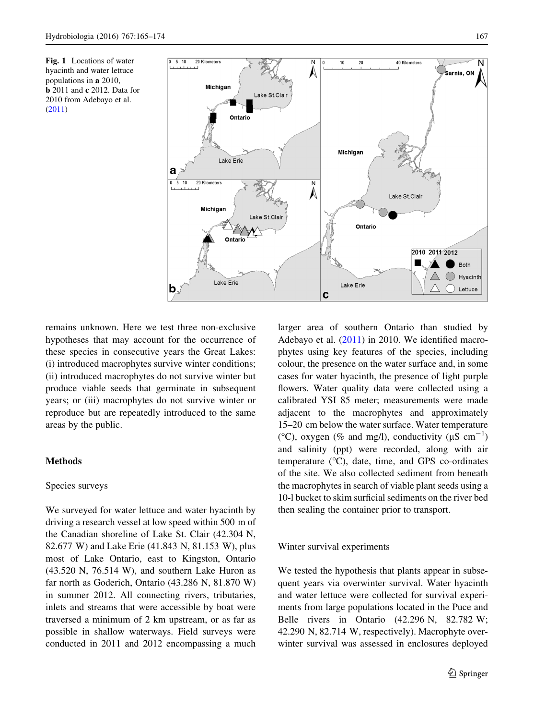<span id="page-2-0"></span>Fig. 1 Locations of water hyacinth and water lettuce populations in a 2010, **b** 2011 and **c** 2012. Data for 2010 from Adebayo et al. ([2011\)](#page-8-0)



remains unknown. Here we test three non-exclusive hypotheses that may account for the occurrence of these species in consecutive years the Great Lakes: (i) introduced macrophytes survive winter conditions; (ii) introduced macrophytes do not survive winter but produce viable seeds that germinate in subsequent years; or (iii) macrophytes do not survive winter or reproduce but are repeatedly introduced to the same areas by the public.

# Methods

## Species surveys

We surveyed for water lettuce and water hyacinth by driving a research vessel at low speed within 500 m of the Canadian shoreline of Lake St. Clair (42.304 N, 82.677 W) and Lake Erie (41.843 N, 81.153 W), plus most of Lake Ontario, east to Kingston, Ontario (43.520 N, 76.514 W), and southern Lake Huron as far north as Goderich, Ontario (43.286 N, 81.870 W) in summer 2012. All connecting rivers, tributaries, inlets and streams that were accessible by boat were traversed a minimum of 2 km upstream, or as far as possible in shallow waterways. Field surveys were conducted in 2011 and 2012 encompassing a much larger area of southern Ontario than studied by Adebayo et al. ([2011\)](#page-8-0) in 2010. We identified macrophytes using key features of the species, including colour, the presence on the water surface and, in some cases for water hyacinth, the presence of light purple flowers. Water quality data were collected using a calibrated YSI 85 meter; measurements were made adjacent to the macrophytes and approximately 15–20 cm below the water surface. Water temperature (°C), oxygen (% and mg/l), conductivity ( $\mu$ S cm<sup>-1</sup>) and salinity (ppt) were recorded, along with air temperature  $(^{\circ}C)$ , date, time, and GPS co-ordinates of the site. We also collected sediment from beneath the macrophytes in search of viable plant seeds using a 10-l bucket to skim surficial sediments on the river bed then sealing the container prior to transport.

#### Winter survival experiments

We tested the hypothesis that plants appear in subsequent years via overwinter survival. Water hyacinth and water lettuce were collected for survival experiments from large populations located in the Puce and Belle rivers in Ontario (42.296 N, 82.782 W; 42.290 N, 82.714 W, respectively). Macrophyte overwinter survival was assessed in enclosures deployed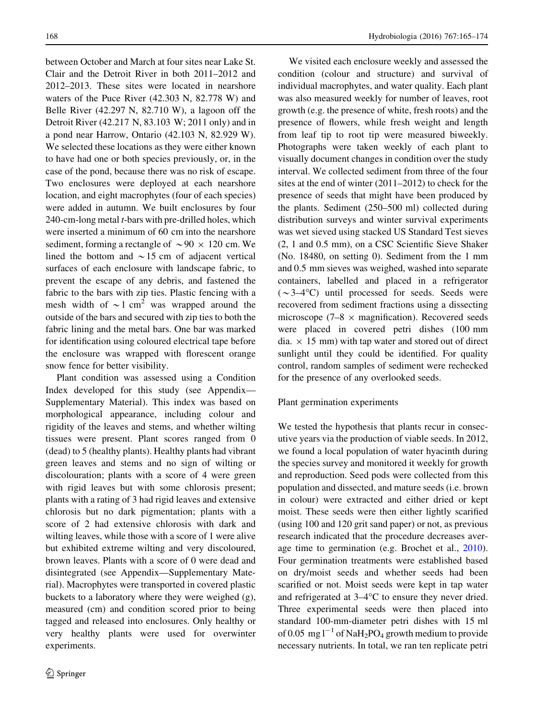between October and March at four sites near Lake St. Clair and the Detroit River in both 2011–2012 and 2012–2013. These sites were located in nearshore waters of the Puce River (42.303 N, 82.778 W) and Belle River (42.297 N, 82.710 W), a lagoon off the Detroit River (42.217 N, 83.103 W; 2011 only) and in a pond near Harrow, Ontario (42.103 N, 82.929 W). We selected these locations as they were either known to have had one or both species previously, or, in the case of the pond, because there was no risk of escape. Two enclosures were deployed at each nearshore location, and eight macrophytes (four of each species) were added in autumn. We built enclosures by four 240-cm-long metal t-bars with pre-drilled holes, which were inserted a minimum of 60 cm into the nearshore sediment, forming a rectangle of  $\sim 90 \times 120$  cm. We lined the bottom and  $\sim$  15 cm of adjacent vertical surfaces of each enclosure with landscape fabric, to prevent the escape of any debris, and fastened the fabric to the bars with zip ties. Plastic fencing with a mesh width of  $\sim$ 1 cm<sup>2</sup> was wrapped around the outside of the bars and secured with zip ties to both the fabric lining and the metal bars. One bar was marked for identification using coloured electrical tape before the enclosure was wrapped with florescent orange snow fence for better visibility.

Plant condition was assessed using a Condition Index developed for this study (see Appendix— Supplementary Material). This index was based on morphological appearance, including colour and rigidity of the leaves and stems, and whether wilting tissues were present. Plant scores ranged from 0 (dead) to 5 (healthy plants). Healthy plants had vibrant green leaves and stems and no sign of wilting or discolouration; plants with a score of 4 were green with rigid leaves but with some chlorosis present; plants with a rating of 3 had rigid leaves and extensive chlorosis but no dark pigmentation; plants with a score of 2 had extensive chlorosis with dark and wilting leaves, while those with a score of 1 were alive but exhibited extreme wilting and very discoloured, brown leaves. Plants with a score of 0 were dead and disintegrated (see Appendix—Supplementary Material). Macrophytes were transported in covered plastic buckets to a laboratory where they were weighed (g), measured (cm) and condition scored prior to being tagged and released into enclosures. Only healthy or very healthy plants were used for overwinter experiments.

We visited each enclosure weekly and assessed the condition (colour and structure) and survival of individual macrophytes, and water quality. Each plant was also measured weekly for number of leaves, root growth (e.g. the presence of white, fresh roots) and the presence of flowers, while fresh weight and length from leaf tip to root tip were measured biweekly. Photographs were taken weekly of each plant to visually document changes in condition over the study interval. We collected sediment from three of the four sites at the end of winter (2011–2012) to check for the presence of seeds that might have been produced by the plants. Sediment (250–500 ml) collected during distribution surveys and winter survival experiments was wet sieved using stacked US Standard Test sieves (2, 1 and 0.5 mm), on a CSC Scientific Sieve Shaker (No. 18480, on setting 0). Sediment from the 1 mm and 0.5 mm sieves was weighed, washed into separate containers, labelled and placed in a refrigerator  $({\sim}3-4$ °C) until processed for seeds. Seeds were recovered from sediment fractions using a dissecting microscope (7–8  $\times$  magnification). Recovered seeds were placed in covered petri dishes (100 mm dia.  $\times$  15 mm) with tap water and stored out of direct sunlight until they could be identified. For quality control, random samples of sediment were rechecked for the presence of any overlooked seeds.

## Plant germination experiments

We tested the hypothesis that plants recur in consecutive years via the production of viable seeds. In 2012, we found a local population of water hyacinth during the species survey and monitored it weekly for growth and reproduction. Seed pods were collected from this population and dissected, and mature seeds (i.e. brown in colour) were extracted and either dried or kept moist. These seeds were then either lightly scarified (using 100 and 120 grit sand paper) or not, as previous research indicated that the procedure decreases average time to germination (e.g. Brochet et al., [2010](#page-8-0)). Four germination treatments were established based on dry/moist seeds and whether seeds had been scarified or not. Moist seeds were kept in tap water and refrigerated at  $3-4$ °C to ensure they never dried. Three experimental seeds were then placed into standard 100-mm-diameter petri dishes with 15 ml of 0.05 mg  $l^{-1}$  of NaH<sub>2</sub>PO<sub>4</sub> growth medium to provide necessary nutrients. In total, we ran ten replicate petri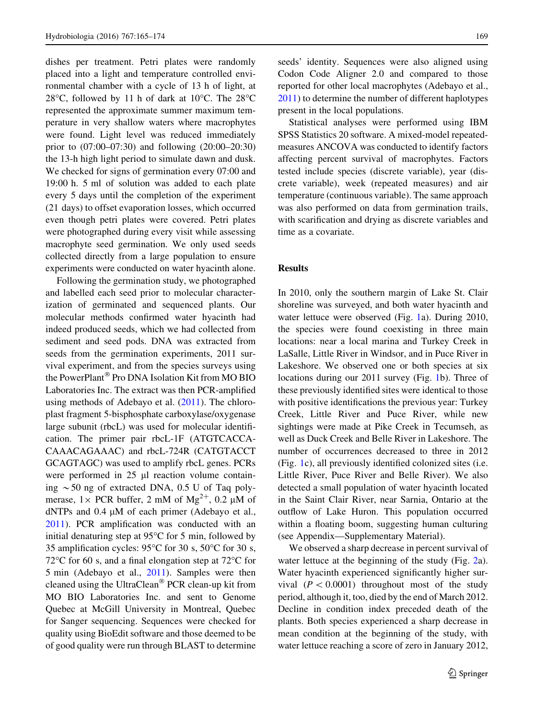dishes per treatment. Petri plates were randomly placed into a light and temperature controlled environmental chamber with a cycle of 13 h of light, at 28 $\degree$ C, followed by 11 h of dark at 10 $\degree$ C. The 28 $\degree$ C represented the approximate summer maximum temperature in very shallow waters where macrophytes were found. Light level was reduced immediately prior to (07:00–07:30) and following (20:00–20:30) the 13-h high light period to simulate dawn and dusk. We checked for signs of germination every 07:00 and 19:00 h. 5 ml of solution was added to each plate every 5 days until the completion of the experiment (21 days) to offset evaporation losses, which occurred even though petri plates were covered. Petri plates were photographed during every visit while assessing macrophyte seed germination. We only used seeds collected directly from a large population to ensure experiments were conducted on water hyacinth alone.

Following the germination study, we photographed and labelled each seed prior to molecular characterization of germinated and sequenced plants. Our molecular methods confirmed water hyacinth had indeed produced seeds, which we had collected from sediment and seed pods. DNA was extracted from seeds from the germination experiments, 2011 survival experiment, and from the species surveys using the PowerPlant® Pro DNA Isolation Kit from MO BIO Laboratories Inc. The extract was then PCR-amplified using methods of Adebayo et al.  $(2011)$  $(2011)$ . The chloroplast fragment 5-bisphosphate carboxylase/oxygenase large subunit (rbcL) was used for molecular identification. The primer pair rbcL-1F (ATGTCACCA-CAAACAGAAAC) and rbcL-724R (CATGTACCT GCAGTAGC) was used to amplify rbcL genes. PCRs were performed in  $25 \mu l$  reaction volume containing  $\sim$  50 ng of extracted DNA, 0.5 U of Taq polymerase,  $1 \times PCR$  buffer, 2 mM of Mg<sup>2+</sup>, 0.2 µM of dNTPs and  $0.4 \mu M$  of each primer (Adebayo et al., [2011\)](#page-8-0). PCR amplification was conducted with an initial denaturing step at  $95^{\circ}$ C for 5 min, followed by 35 amplification cycles:  $95^{\circ}$ C for 30 s,  $50^{\circ}$ C for 30 s, 72 $\rm{^{\circ}C}$  for 60 s, and a final elongation step at 72 $\rm{^{\circ}C}$  for 5 min (Adebayo et al., [2011](#page-8-0)). Samples were then cleaned using the UltraClean<sup>®</sup> PCR clean-up kit from MO BIO Laboratories Inc. and sent to Genome Quebec at McGill University in Montreal, Quebec for Sanger sequencing. Sequences were checked for quality using BioEdit software and those deemed to be of good quality were run through BLAST to determine seeds' identity. Sequences were also aligned using Codon Code Aligner 2.0 and compared to those reported for other local macrophytes (Adebayo et al., [2011\)](#page-8-0) to determine the number of different haplotypes present in the local populations.

Statistical analyses were performed using IBM SPSS Statistics 20 software. A mixed-model repeatedmeasures ANCOVA was conducted to identify factors affecting percent survival of macrophytes. Factors tested include species (discrete variable), year (discrete variable), week (repeated measures) and air temperature (continuous variable). The same approach was also performed on data from germination trails, with scarification and drying as discrete variables and time as a covariate.

## Results

In 2010, only the southern margin of Lake St. Clair shoreline was surveyed, and both water hyacinth and water lettuce were observed (Fig. [1a](#page-2-0)). During 2010, the species were found coexisting in three main locations: near a local marina and Turkey Creek in LaSalle, Little River in Windsor, and in Puce River in Lakeshore. We observed one or both species at six locations during our 2011 survey (Fig. [1](#page-2-0)b). Three of these previously identified sites were identical to those with positive identifications the previous year: Turkey Creek, Little River and Puce River, while new sightings were made at Pike Creek in Tecumseh, as well as Duck Creek and Belle River in Lakeshore. The number of occurrences decreased to three in 2012 (Fig. [1](#page-2-0)c), all previously identified colonized sites (i.e. Little River, Puce River and Belle River). We also detected a small population of water hyacinth located in the Saint Clair River, near Sarnia, Ontario at the outflow of Lake Huron. This population occurred within a floating boom, suggesting human culturing (see Appendix—Supplementary Material).

We observed a sharp decrease in percent survival of water lettuce at the beginning of the study (Fig. [2a](#page-5-0)). Water hyacinth experienced significantly higher survival  $(P < 0.0001)$  throughout most of the study period, although it, too, died by the end of March 2012. Decline in condition index preceded death of the plants. Both species experienced a sharp decrease in mean condition at the beginning of the study, with water lettuce reaching a score of zero in January 2012,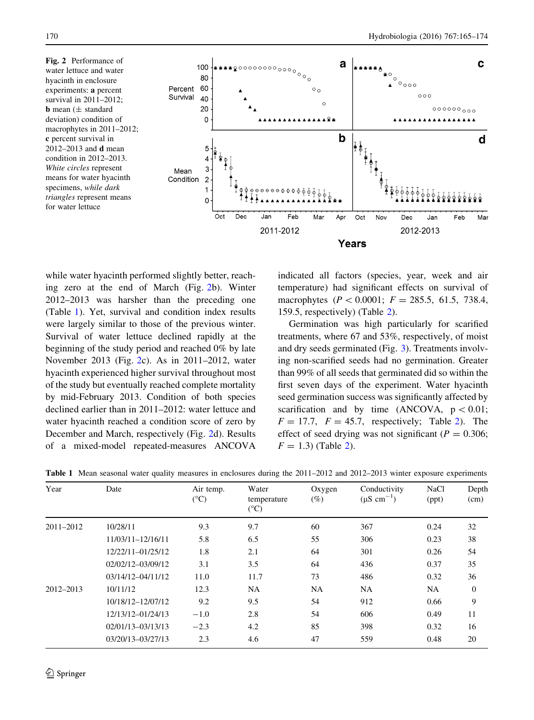<span id="page-5-0"></span>Fig. 2 Performance of water lettuce and water hyacinth in enclosure experiments: a percent survival in 2011–2012; **b** mean  $(\pm$  standard deviation) condition of macrophytes in 2011–2012; c percent survival in 2012–2013 and d mean condition in 2012–2013. White circles represent means for water hyacinth specimens, while dark triangles represent means for water lettuce



while water hyacinth performed slightly better, reaching zero at the end of March (Fig. 2b). Winter 2012–2013 was harsher than the preceding one (Table 1). Yet, survival and condition index results were largely similar to those of the previous winter. Survival of water lettuce declined rapidly at the beginning of the study period and reached 0% by late November 2013 (Fig. 2c). As in 2011–2012, water hyacinth experienced higher survival throughout most of the study but eventually reached complete mortality by mid-February 2013. Condition of both species declined earlier than in 2011–2012: water lettuce and water hyacinth reached a condition score of zero by December and March, respectively (Fig. 2d). Results of a mixed-model repeated-measures ANCOVA indicated all factors (species, year, week and air temperature) had significant effects on survival of macrophytes ( $P < 0.0001$ ;  $F = 285.5, 61.5, 738.4$ , 159.5, respectively) (Table [2\)](#page-6-0).

Germination was high particularly for scarified treatments, where 67 and 53%, respectively, of moist and dry seeds germinated (Fig. [3\)](#page-6-0). Treatments involving non-scarified seeds had no germination. Greater than 99% of all seeds that germinated did so within the first seven days of the experiment. Water hyacinth seed germination success was significantly affected by scarification and by time (ANCOVA,  $p < 0.01$ ;  $F = 17.7$ ,  $F = 45.7$ , respectively; Table [2](#page-6-0)). The effect of seed drying was not significant ( $P = 0.306$ ;  $F = 1.3$ ) (Table [2](#page-6-0)).

|  |  |  |  |  |  |  |  | <b>Table 1</b> Mean seasonal water quality measures in enclosures during the 2011–2012 and 2012–2013 winter exposure experiments |  |
|--|--|--|--|--|--|--|--|----------------------------------------------------------------------------------------------------------------------------------|--|
|--|--|--|--|--|--|--|--|----------------------------------------------------------------------------------------------------------------------------------|--|

| Year          | Date              | Air temp.<br>$(^{\circ}C)$ | Water<br>temperature<br>$(^{\circ}C)$ | Oxygen<br>$(\%)$ | Conductivity<br>$(\mu S \text{ cm}^{-1})$ | <b>NaCl</b><br>(ppt) | Depth<br>(cm)  |
|---------------|-------------------|----------------------------|---------------------------------------|------------------|-------------------------------------------|----------------------|----------------|
| $2011 - 2012$ | 10/28/11          | 9.3                        | 9.7                                   | 60               | 367                                       | 0.24                 | 32             |
|               | 11/03/11-12/16/11 | 5.8                        | 6.5                                   | 55               | 306                                       | 0.23                 | 38             |
|               | 12/22/11-01/25/12 | 1.8                        | 2.1                                   | 64               | 301                                       | 0.26                 | 54             |
|               | 02/02/12-03/09/12 | 3.1                        | 3.5                                   | 64               | 436                                       | 0.37                 | 35             |
|               | 03/14/12-04/11/12 | 11.0                       | 11.7                                  | 73               | 486                                       | 0.32                 | 36             |
| 2012-2013     | 10/11/12          | 12.3                       | <b>NA</b>                             | <b>NA</b>        | <b>NA</b>                                 | <b>NA</b>            | $\overline{0}$ |
|               | 10/18/12-12/07/12 | 9.2                        | 9.5                                   | 54               | 912                                       | 0.66                 | 9              |
|               | 12/13/12-01/24/13 | $-1.0$                     | 2.8                                   | 54               | 606                                       | 0.49                 | 11             |
|               | 02/01/13-03/13/13 | $-2.3$                     | 4.2                                   | 85               | 398                                       | 0.32                 | 16             |
|               | 03/20/13-03/27/13 | 2.3                        | 4.6                                   | 47               | 559                                       | 0.48                 | 20             |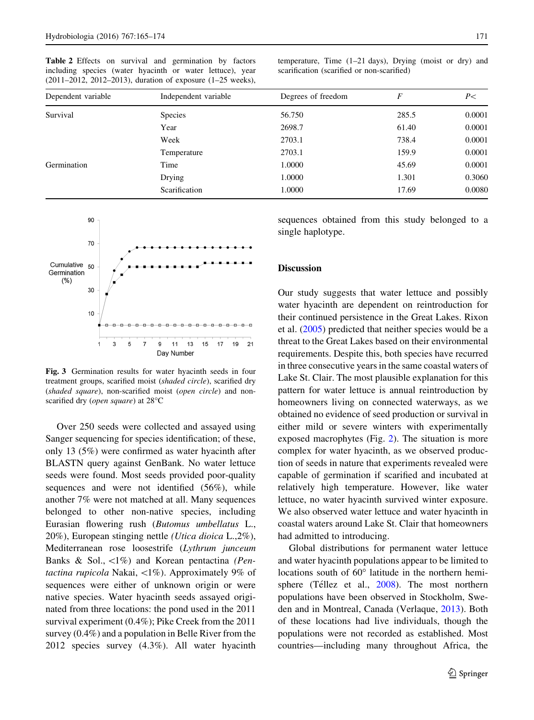<span id="page-6-0"></span>Table 2 Effects on survival and germination by factors including species (water hyacinth or water lettuce), year (2011–2012, 2012–2013), duration of exposure (1–25 weeks), temperature, Time (1–21 days), Drying (moist or dry) and scarification (scarified or non-scarified)

| Dependent variable | Independent variable | Degrees of freedom | F     | P<     |
|--------------------|----------------------|--------------------|-------|--------|
| Survival           | <b>Species</b>       | 56.750             | 285.5 | 0.0001 |
|                    | Year                 | 2698.7             | 61.40 | 0.0001 |
|                    | Week                 | 2703.1             | 738.4 | 0.0001 |
|                    | Temperature          | 2703.1             | 159.9 | 0.0001 |
| Germination        | Time                 | 1.0000             | 45.69 | 0.0001 |
|                    | Drying               | 1.0000             | 1.301 | 0.3060 |
|                    | Scarification        | 1.0000             | 17.69 | 0.0080 |



Fig. 3 Germination results for water hyacinth seeds in four treatment groups, scarified moist (shaded circle), scarified dry (shaded square), non-scarified moist (open circle) and nonscarified dry (*open square*) at  $28^{\circ}$ C

Over 250 seeds were collected and assayed using Sanger sequencing for species identification; of these, only 13 (5%) were confirmed as water hyacinth after BLASTN query against GenBank. No water lettuce seeds were found. Most seeds provided poor-quality sequences and were not identified (56%), while another 7% were not matched at all. Many sequences belonged to other non-native species, including Eurasian flowering rush (Butomus umbellatus L., 20%), European stinging nettle (Utica dioica L.,2%), Mediterranean rose loosestrife (Lythrum junceum Banks & Sol.,  $\langle 1\% \rangle$  and Korean pentactina (Pentactina rupicola Nakai,  $\langle 1\% \rangle$ . Approximately 9% of sequences were either of unknown origin or were native species. Water hyacinth seeds assayed originated from three locations: the pond used in the 2011 survival experiment (0.4%); Pike Creek from the 2011 survey (0.4%) and a population in Belle River from the 2012 species survey (4.3%). All water hyacinth sequences obtained from this study belonged to a single haplotype.

## **Discussion**

Our study suggests that water lettuce and possibly water hyacinth are dependent on reintroduction for their continued persistence in the Great Lakes. Rixon et al. ([2005\)](#page-9-0) predicted that neither species would be a threat to the Great Lakes based on their environmental requirements. Despite this, both species have recurred in three consecutive years in the same coastal waters of Lake St. Clair. The most plausible explanation for this pattern for water lettuce is annual reintroduction by homeowners living on connected waterways, as we obtained no evidence of seed production or survival in either mild or severe winters with experimentally exposed macrophytes (Fig. [2](#page-5-0)). The situation is more complex for water hyacinth, as we observed production of seeds in nature that experiments revealed were capable of germination if scarified and incubated at relatively high temperature. However, like water lettuce, no water hyacinth survived winter exposure. We also observed water lettuce and water hyacinth in coastal waters around Lake St. Clair that homeowners had admitted to introducing.

Global distributions for permanent water lettuce and water hyacinth populations appear to be limited to locations south of  $60^{\circ}$  latitude in the northern hemi-sphere (Téllez et al., [2008\)](#page-9-0). The most northern populations have been observed in Stockholm, Sweden and in Montreal, Canada (Verlaque, [2013\)](#page-9-0). Both of these locations had live individuals, though the populations were not recorded as established. Most countries—including many throughout Africa, the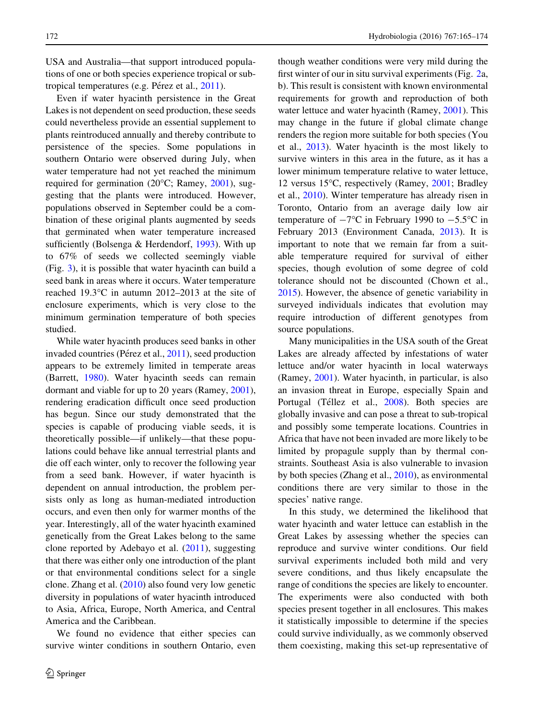USA and Australia—that support introduced populations of one or both species experience tropical or subtropical temperatures (e.g. Pérez et al.,  $2011$ ).

Even if water hyacinth persistence in the Great Lakes is not dependent on seed production, these seeds could nevertheless provide an essential supplement to plants reintroduced annually and thereby contribute to persistence of the species. Some populations in southern Ontario were observed during July, when water temperature had not yet reached the minimum required for germination (20°C; Ramey, [2001\)](#page-9-0), suggesting that the plants were introduced. However, populations observed in September could be a combination of these original plants augmented by seeds that germinated when water temperature increased sufficiently (Bolsenga & Herdendorf, [1993](#page-8-0)). With up to 67% of seeds we collected seemingly viable (Fig. [3](#page-6-0)), it is possible that water hyacinth can build a seed bank in areas where it occurs. Water temperature reached 19.3 $\degree$ C in autumn 2012–2013 at the site of enclosure experiments, which is very close to the minimum germination temperature of both species studied.

While water hyacinth produces seed banks in other invaded countries (Pérez et al., [2011\)](#page-9-0), seed production appears to be extremely limited in temperate areas (Barrett, [1980](#page-8-0)). Water hyacinth seeds can remain dormant and viable for up to 20 years (Ramey, [2001](#page-9-0)), rendering eradication difficult once seed production has begun. Since our study demonstrated that the species is capable of producing viable seeds, it is theoretically possible—if unlikely—that these populations could behave like annual terrestrial plants and die off each winter, only to recover the following year from a seed bank. However, if water hyacinth is dependent on annual introduction, the problem persists only as long as human-mediated introduction occurs, and even then only for warmer months of the year. Interestingly, all of the water hyacinth examined genetically from the Great Lakes belong to the same clone reported by Adebayo et al.  $(2011)$  $(2011)$ , suggesting that there was either only one introduction of the plant or that environmental conditions select for a single clone. Zhang et al. [\(2010](#page-9-0)) also found very low genetic diversity in populations of water hyacinth introduced to Asia, Africa, Europe, North America, and Central America and the Caribbean.

We found no evidence that either species can survive winter conditions in southern Ontario, even though weather conditions were very mild during the first winter of our in situ survival experiments (Fig. [2](#page-5-0)a, b). This result is consistent with known environmental requirements for growth and reproduction of both water lettuce and water hyacinth (Ramey, [2001](#page-9-0)). This may change in the future if global climate change renders the region more suitable for both species (You et al., [2013\)](#page-9-0). Water hyacinth is the most likely to survive winters in this area in the future, as it has a lower minimum temperature relative to water lettuce, 12 versus 15°C, respectively (Ramey, [2001;](#page-9-0) Bradley et al., [2010](#page-8-0)). Winter temperature has already risen in Toronto, Ontario from an average daily low air temperature of  $-7^{\circ}$ C in February 1990 to  $-5.5^{\circ}$ C in February 2013 (Environment Canada, [2013\)](#page-9-0). It is important to note that we remain far from a suitable temperature required for survival of either species, though evolution of some degree of cold tolerance should not be discounted (Chown et al., [2015\)](#page-9-0). However, the absence of genetic variability in surveyed individuals indicates that evolution may require introduction of different genotypes from source populations.

Many municipalities in the USA south of the Great Lakes are already affected by infestations of water lettuce and/or water hyacinth in local waterways (Ramey, [2001](#page-9-0)). Water hyacinth, in particular, is also an invasion threat in Europe, especially Spain and Portugal (Téllez et al., [2008\)](#page-9-0). Both species are globally invasive and can pose a threat to sub-tropical and possibly some temperate locations. Countries in Africa that have not been invaded are more likely to be limited by propagule supply than by thermal constraints. Southeast Asia is also vulnerable to invasion by both species (Zhang et al., [2010\)](#page-9-0), as environmental conditions there are very similar to those in the species' native range.

In this study, we determined the likelihood that water hyacinth and water lettuce can establish in the Great Lakes by assessing whether the species can reproduce and survive winter conditions. Our field survival experiments included both mild and very severe conditions, and thus likely encapsulate the range of conditions the species are likely to encounter. The experiments were also conducted with both species present together in all enclosures. This makes it statistically impossible to determine if the species could survive individually, as we commonly observed them coexisting, making this set-up representative of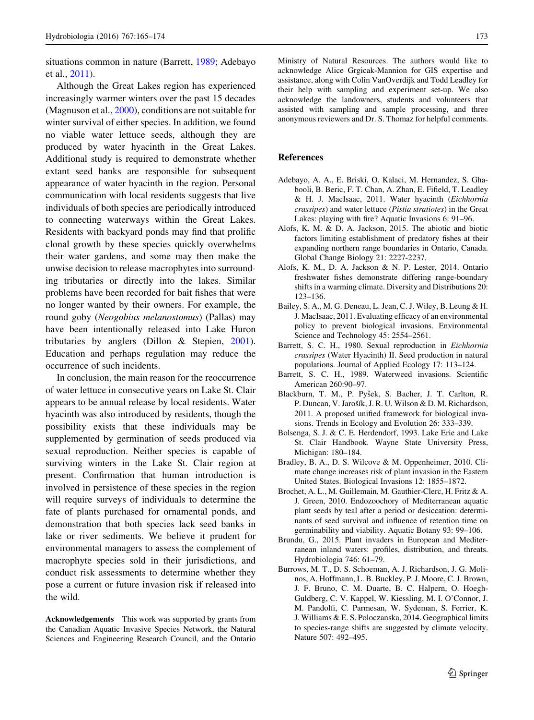<span id="page-8-0"></span>situations common in nature (Barrett, 1989; Adebayo et al., 2011).

Although the Great Lakes region has experienced increasingly warmer winters over the past 15 decades (Magnuson et al., [2000](#page-9-0)), conditions are not suitable for winter survival of either species. In addition, we found no viable water lettuce seeds, although they are produced by water hyacinth in the Great Lakes. Additional study is required to demonstrate whether extant seed banks are responsible for subsequent appearance of water hyacinth in the region. Personal communication with local residents suggests that live individuals of both species are periodically introduced to connecting waterways within the Great Lakes. Residents with backyard ponds may find that prolific clonal growth by these species quickly overwhelms their water gardens, and some may then make the unwise decision to release macrophytes into surrounding tributaries or directly into the lakes. Similar problems have been recorded for bait fishes that were no longer wanted by their owners. For example, the round goby (Neogobius melanostomus) (Pallas) may have been intentionally released into Lake Huron tributaries by anglers (Dillon & Stepien, [2001](#page-9-0)). Education and perhaps regulation may reduce the occurrence of such incidents.

In conclusion, the main reason for the reoccurrence of water lettuce in consecutive years on Lake St. Clair appears to be annual release by local residents. Water hyacinth was also introduced by residents, though the possibility exists that these individuals may be supplemented by germination of seeds produced via sexual reproduction. Neither species is capable of surviving winters in the Lake St. Clair region at present. Confirmation that human introduction is involved in persistence of these species in the region will require surveys of individuals to determine the fate of plants purchased for ornamental ponds, and demonstration that both species lack seed banks in lake or river sediments. We believe it prudent for environmental managers to assess the complement of macrophyte species sold in their jurisdictions, and conduct risk assessments to determine whether they pose a current or future invasion risk if released into the wild.

Acknowledgements This work was supported by grants from the Canadian Aquatic Invasive Species Network, the Natural Sciences and Engineering Research Council, and the Ontario Ministry of Natural Resources. The authors would like to acknowledge Alice Grgicak-Mannion for GIS expertise and assistance, along with Colin VanOverdijk and Todd Leadley for their help with sampling and experiment set-up. We also acknowledge the landowners, students and volunteers that assisted with sampling and sample processing, and three anonymous reviewers and Dr. S. Thomaz for helpful comments.

#### References

- Adebayo, A. A., E. Briski, O. Kalaci, M. Hernandez, S. Ghabooli, B. Beric, F. T. Chan, A. Zhan, E. Fifield, T. Leadley & H. J. MacIsaac, 2011. Water hyacinth (Eichhornia crassipes) and water lettuce (Pistia stratiotes) in the Great Lakes: playing with fire? Aquatic Invasions 6: 91–96.
- Alofs, K. M. & D. A. Jackson, 2015. The abiotic and biotic factors limiting establishment of predatory fishes at their expanding northern range boundaries in Ontario, Canada. Global Change Biology 21: 2227-2237.
- Alofs, K. M., D. A. Jackson & N. P. Lester, 2014. Ontario freshwater fishes demonstrate differing range-boundary shifts in a warming climate. Diversity and Distributions 20: 123–136.
- Bailey, S. A., M. G. Deneau, L. Jean, C. J. Wiley, B. Leung & H. J. MacIsaac, 2011. Evaluating efficacy of an environmental policy to prevent biological invasions. Environmental Science and Technology 45: 2554–2561.
- Barrett, S. C. H., 1980. Sexual reproduction in Eichhornia crassipes (Water Hyacinth) II. Seed production in natural populations. Journal of Applied Ecology 17: 113–124.
- Barrett, S. C. H., 1989. Waterweed invasions. Scientific American 260:90–97.
- Blackburn, T. M., P. Pyšek, S. Bacher, J. T. Carlton, R. P. Duncan, V. Jarošík, J. R. U. Wilson & D. M. Richardson, 2011. A proposed unified framework for biological invasions. Trends in Ecology and Evolution 26: 333–339.
- Bolsenga, S. J. & C. E. Herdendorf, 1993. Lake Erie and Lake St. Clair Handbook. Wayne State University Press, Michigan: 180–184.
- Bradley, B. A., D. S. Wilcove & M. Oppenheimer, 2010. Climate change increases risk of plant invasion in the Eastern United States. Biological Invasions 12: 1855–1872.
- Brochet, A. L., M. Guillemain, M. Gauthier-Clerc, H. Fritz & A. J. Green, 2010. Endozoochory of Mediterranean aquatic plant seeds by teal after a period or desiccation: determinants of seed survival and influence of retention time on germinability and viability. Aquatic Botany 93: 99–106.
- Brundu, G., 2015. Plant invaders in European and Mediterranean inland waters: profiles, distribution, and threats. Hydrobiologia 746: 61–79.
- Burrows, M. T., D. S. Schoeman, A. J. Richardson, J. G. Molinos, A. Hoffmann, L. B. Buckley, P. J. Moore, C. J. Brown, J. F. Bruno, C. M. Duarte, B. C. Halpern, O. Hoegh-Guldberg, C. V. Kappel, W. Kiessling, M. I. O'Connor, J. M. Pandolfi, C. Parmesan, W. Sydeman, S. Ferrier, K. J. Williams & E. S. Poloczanska, 2014. Geographical limits to species-range shifts are suggested by climate velocity. Nature 507: 492–495.